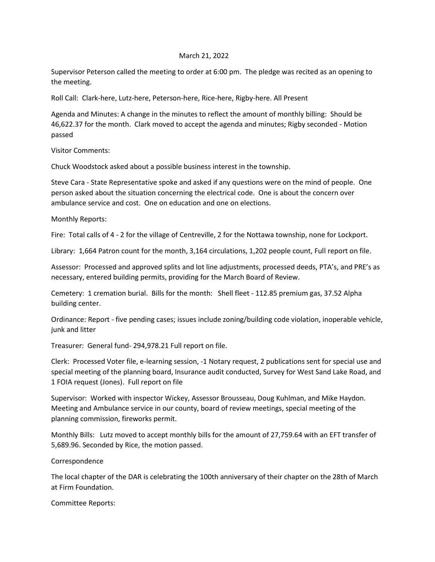## March 21, 2022

Supervisor Peterson called the meeting to order at 6:00 pm. The pledge was recited as an opening to the meeting.

Roll Call: Clark-here, Lutz-here, Peterson-here, Rice-here, Rigby-here. All Present

Agenda and Minutes: A change in the minutes to reflect the amount of monthly billing: Should be 46,622.37 for the month. Clark moved to accept the agenda and minutes; Rigby seconded - Motion passed

Visitor Comments:

Chuck Woodstock asked about a possible business interest in the township.

Steve Cara - State Representative spoke and asked if any questions were on the mind of people. One person asked about the situation concerning the electrical code. One is about the concern over ambulance service and cost. One on education and one on elections.

Monthly Reports:

Fire: Total calls of 4 - 2 for the village of Centreville, 2 for the Nottawa township, none for Lockport.

Library: 1,664 Patron count for the month, 3,164 circulations, 1,202 people count, Full report on file.

Assessor: Processed and approved splits and lot line adjustments, processed deeds, PTA's, and PRE's as necessary, entered building permits, providing for the March Board of Review.

Cemetery: 1 cremation burial. Bills for the month: Shell fleet - 112.85 premium gas, 37.52 Alpha building center.

Ordinance: Report - five pending cases; issues include zoning/building code violation, inoperable vehicle, junk and litter

Treasurer: General fund- 294,978.21 Full report on file.

Clerk: Processed Voter file, e-learning session, -1 Notary request, 2 publications sent for special use and special meeting of the planning board, Insurance audit conducted, Survey for West Sand Lake Road, and 1 FOIA request (Jones). Full report on file

Supervisor: Worked with inspector Wickey, Assessor Brousseau, Doug Kuhlman, and Mike Haydon. Meeting and Ambulance service in our county, board of review meetings, special meeting of the planning commission, fireworks permit.

Monthly Bills: Lutz moved to accept monthly bills for the amount of 27,759.64 with an EFT transfer of 5,689.96. Seconded by Rice, the motion passed.

Correspondence

The local chapter of the DAR is celebrating the 100th anniversary of their chapter on the 28th of March at Firm Foundation.

Committee Reports: